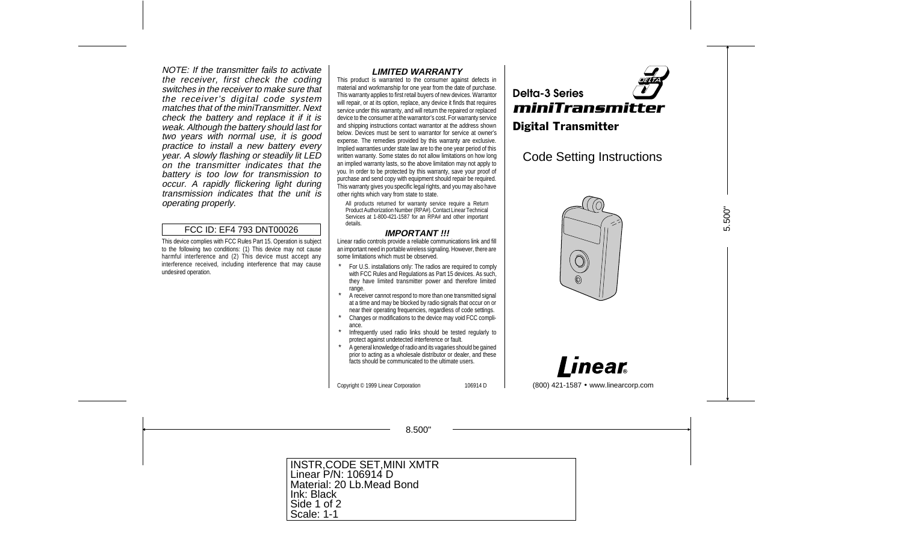NOTE: If the transmitter fails to activate the receiver, first check the coding switches in the receiver to make sure that the receiver's digital code system matches that of the miniTransmitter. Next check the battery and replace it if it is weak. Although the battery should last for two years with normal use, it is good practice to install a new battery every year. A slowly flashing or steadily lit LED on the transmitter indicates that the battery is too low for transmission to occur. A rapidly flickering light during transmission indicates that the unit is operating properly.

#### FCC ID: EF4 793 DNT00026

This device complies with FCC Rules Part 15. Operation is subject to the following two conditions: (1) This device may not cause harmful interference and (2) This device must accept any interference received, including interference that may cause undesired operation.

#### **LIMITED WARRANTY**

This product is warranted to the consumer against defects in material and workmanship for one year from the date of purchase. This warranty applies to first retail buyers of new devices. Warrantor will repair, or at its option, replace, any device it finds that requires service under this warranty, and will return the repaired or replaced device to the consumer at the warrantor's cost. For warranty service and shipping instructions contact warrantor at the address shown below. Devices must be sent to warrantor for service at owner's expense. The remedies provided by this warranty are exclusive. Implied warranties under state law are to the one year period of this written warranty. Some states do not allow limitations on how long an implied warranty lasts, so the above limitation may not apply to you. In order to be protected by this warranty, save your proof of purchase and send copy with equipment should repair be required. This warranty gives you specific legal rights, and you may also have other rights which vary from state to state.

All products returned for warranty service require a Return Product Authorization Number (RPA#). Contact Linear Technical Services at 1-800-421-1587 for an RPA# and other important details.

#### **IMPORTANT !!!**

Linear radio controls provide a reliable communications link and fill an important need in portable wireless signaling. However, there are some limitations which must be observed.

- \* For U.S. installations only: The radios are required to comply with FCC Rules and Regulations as Part 15 devices. As such, they have limited transmitter power and therefore limited range.
- A receiver cannot respond to more than one transmitted signal at a time and may be blocked by radio signals that occur on or near their operating frequencies, regardless of code settings.
- Changes or modifications to the device may void FCC compliance.
- Infrequently used radio links should be tested regularly to protect against undetected interference or fault.
- A general knowledge of radio and its vagaries should be gained prior to acting as a wholesale distributor or dealer, and these facts should be communicated to the ultimate users.



# Code Setting Instructions